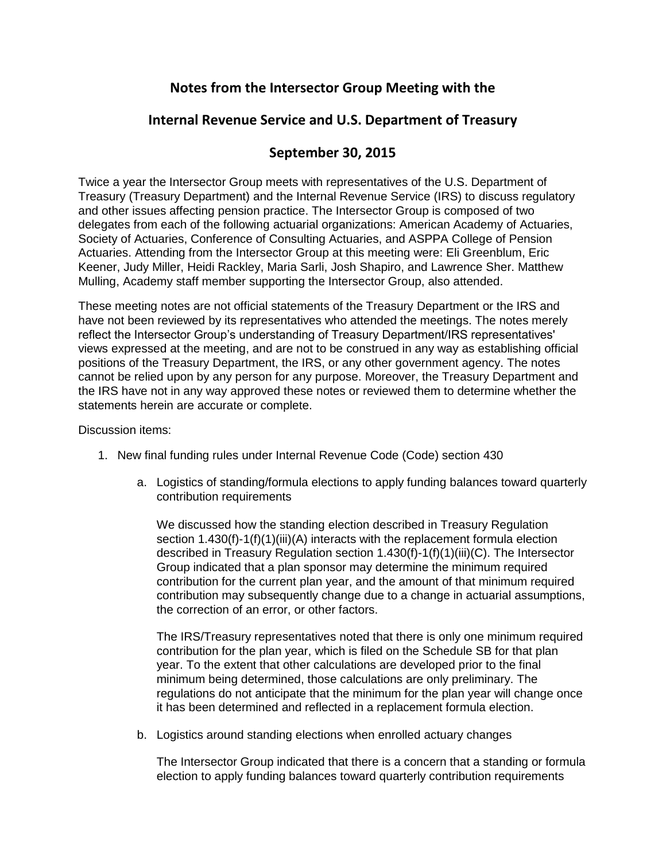# **Notes from the Intersector Group Meeting with the**

## **Internal Revenue Service and U.S. Department of Treasury**

## **September 30, 2015**

Twice a year the Intersector Group meets with representatives of the U.S. Department of Treasury (Treasury Department) and the Internal Revenue Service (IRS) to discuss regulatory and other issues affecting pension practice. The Intersector Group is composed of two delegates from each of the following actuarial organizations: American Academy of Actuaries, Society of Actuaries, Conference of Consulting Actuaries, and ASPPA College of Pension Actuaries. Attending from the Intersector Group at this meeting were: Eli Greenblum, Eric Keener, Judy Miller, Heidi Rackley, Maria Sarli, Josh Shapiro, and Lawrence Sher. Matthew Mulling, Academy staff member supporting the Intersector Group, also attended.

These meeting notes are not official statements of the Treasury Department or the IRS and have not been reviewed by its representatives who attended the meetings. The notes merely reflect the Intersector Group's understanding of Treasury Department/IRS representatives' views expressed at the meeting, and are not to be construed in any way as establishing official positions of the Treasury Department, the IRS, or any other government agency. The notes cannot be relied upon by any person for any purpose. Moreover, the Treasury Department and the IRS have not in any way approved these notes or reviewed them to determine whether the statements herein are accurate or complete.

Discussion items:

- 1. New final funding rules under Internal Revenue Code (Code) section 430
	- a. Logistics of standing/formula elections to apply funding balances toward quarterly contribution requirements

We discussed how the standing election described in Treasury Regulation section 1.430(f)-1(f)(1)(iii)(A) interacts with the replacement formula election described in Treasury Regulation section 1.430(f)-1(f)(1)(iii)(C). The Intersector Group indicated that a plan sponsor may determine the minimum required contribution for the current plan year, and the amount of that minimum required contribution may subsequently change due to a change in actuarial assumptions, the correction of an error, or other factors.

The IRS/Treasury representatives noted that there is only one minimum required contribution for the plan year, which is filed on the Schedule SB for that plan year. To the extent that other calculations are developed prior to the final minimum being determined, those calculations are only preliminary. The regulations do not anticipate that the minimum for the plan year will change once it has been determined and reflected in a replacement formula election.

b. Logistics around standing elections when enrolled actuary changes

The Intersector Group indicated that there is a concern that a standing or formula election to apply funding balances toward quarterly contribution requirements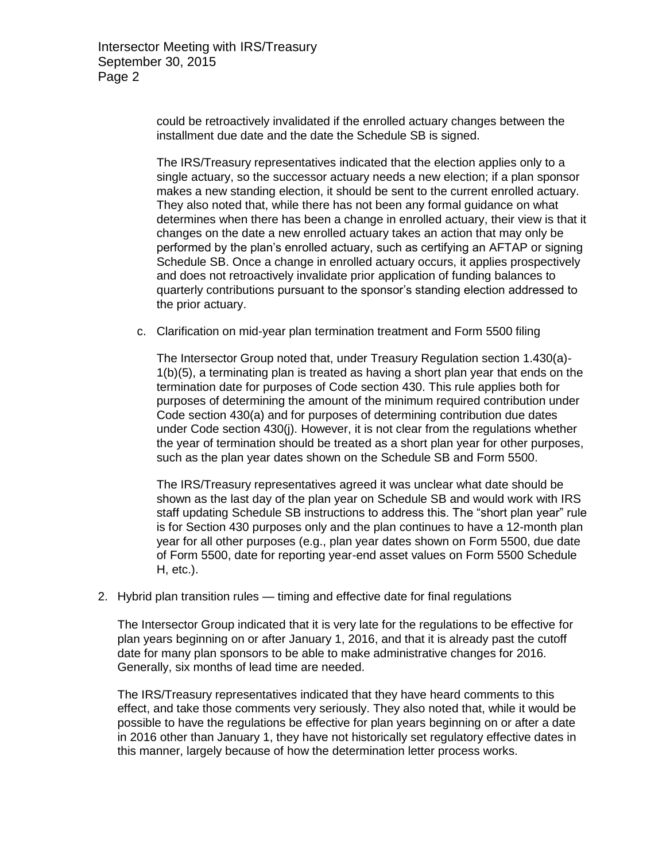could be retroactively invalidated if the enrolled actuary changes between the installment due date and the date the Schedule SB is signed.

The IRS/Treasury representatives indicated that the election applies only to a single actuary, so the successor actuary needs a new election; if a plan sponsor makes a new standing election, it should be sent to the current enrolled actuary. They also noted that, while there has not been any formal guidance on what determines when there has been a change in enrolled actuary, their view is that it changes on the date a new enrolled actuary takes an action that may only be performed by the plan's enrolled actuary, such as certifying an AFTAP or signing Schedule SB. Once a change in enrolled actuary occurs, it applies prospectively and does not retroactively invalidate prior application of funding balances to quarterly contributions pursuant to the sponsor's standing election addressed to the prior actuary.

c. Clarification on mid-year plan termination treatment and Form 5500 filing

The Intersector Group noted that, under Treasury Regulation section 1.430(a)- 1(b)(5), a terminating plan is treated as having a short plan year that ends on the termination date for purposes of Code section 430. This rule applies both for purposes of determining the amount of the minimum required contribution under Code section 430(a) and for purposes of determining contribution due dates under Code section 430(j). However, it is not clear from the regulations whether the year of termination should be treated as a short plan year for other purposes, such as the plan year dates shown on the Schedule SB and Form 5500.

The IRS/Treasury representatives agreed it was unclear what date should be shown as the last day of the plan year on Schedule SB and would work with IRS staff updating Schedule SB instructions to address this. The "short plan year" rule is for Section 430 purposes only and the plan continues to have a 12-month plan year for all other purposes (e.g., plan year dates shown on Form 5500, due date of Form 5500, date for reporting year-end asset values on Form 5500 Schedule H, etc.).

2. Hybrid plan transition rules — timing and effective date for final regulations

The Intersector Group indicated that it is very late for the regulations to be effective for plan years beginning on or after January 1, 2016, and that it is already past the cutoff date for many plan sponsors to be able to make administrative changes for 2016. Generally, six months of lead time are needed.

The IRS/Treasury representatives indicated that they have heard comments to this effect, and take those comments very seriously. They also noted that, while it would be possible to have the regulations be effective for plan years beginning on or after a date in 2016 other than January 1, they have not historically set regulatory effective dates in this manner, largely because of how the determination letter process works.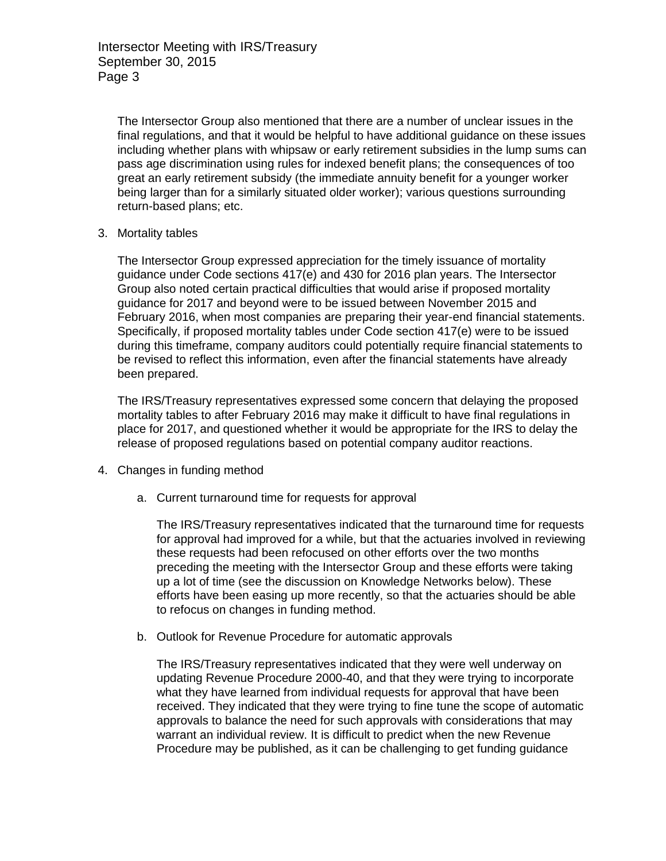The Intersector Group also mentioned that there are a number of unclear issues in the final regulations, and that it would be helpful to have additional guidance on these issues including whether plans with whipsaw or early retirement subsidies in the lump sums can pass age discrimination using rules for indexed benefit plans; the consequences of too great an early retirement subsidy (the immediate annuity benefit for a younger worker being larger than for a similarly situated older worker); various questions surrounding return-based plans; etc.

3. Mortality tables

The Intersector Group expressed appreciation for the timely issuance of mortality guidance under Code sections 417(e) and 430 for 2016 plan years. The Intersector Group also noted certain practical difficulties that would arise if proposed mortality guidance for 2017 and beyond were to be issued between November 2015 and February 2016, when most companies are preparing their year-end financial statements. Specifically, if proposed mortality tables under Code section 417(e) were to be issued during this timeframe, company auditors could potentially require financial statements to be revised to reflect this information, even after the financial statements have already been prepared.

The IRS/Treasury representatives expressed some concern that delaying the proposed mortality tables to after February 2016 may make it difficult to have final regulations in place for 2017, and questioned whether it would be appropriate for the IRS to delay the release of proposed regulations based on potential company auditor reactions.

- 4. Changes in funding method
	- a. Current turnaround time for requests for approval

The IRS/Treasury representatives indicated that the turnaround time for requests for approval had improved for a while, but that the actuaries involved in reviewing these requests had been refocused on other efforts over the two months preceding the meeting with the Intersector Group and these efforts were taking up a lot of time (see the discussion on Knowledge Networks below). These efforts have been easing up more recently, so that the actuaries should be able to refocus on changes in funding method.

b. Outlook for Revenue Procedure for automatic approvals

The IRS/Treasury representatives indicated that they were well underway on updating Revenue Procedure 2000-40, and that they were trying to incorporate what they have learned from individual requests for approval that have been received. They indicated that they were trying to fine tune the scope of automatic approvals to balance the need for such approvals with considerations that may warrant an individual review. It is difficult to predict when the new Revenue Procedure may be published, as it can be challenging to get funding guidance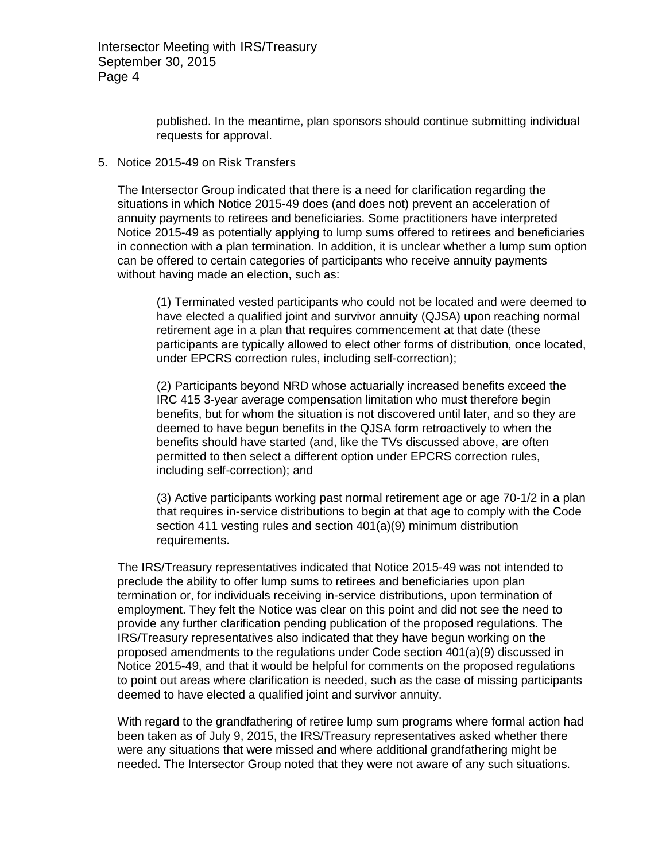Intersector Meeting with IRS/Treasury September 30, 2015 Page 4

> published. In the meantime, plan sponsors should continue submitting individual requests for approval.

### 5. Notice 2015-49 on Risk Transfers

The Intersector Group indicated that there is a need for clarification regarding the situations in which Notice 2015-49 does (and does not) prevent an acceleration of annuity payments to retirees and beneficiaries. Some practitioners have interpreted Notice 2015-49 as potentially applying to lump sums offered to retirees and beneficiaries in connection with a plan termination. In addition, it is unclear whether a lump sum option can be offered to certain categories of participants who receive annuity payments without having made an election, such as:

(1) Terminated vested participants who could not be located and were deemed to have elected a qualified joint and survivor annuity (QJSA) upon reaching normal retirement age in a plan that requires commencement at that date (these participants are typically allowed to elect other forms of distribution, once located, under EPCRS correction rules, including self-correction);

(2) Participants beyond NRD whose actuarially increased benefits exceed the IRC 415 3-year average compensation limitation who must therefore begin benefits, but for whom the situation is not discovered until later, and so they are deemed to have begun benefits in the QJSA form retroactively to when the benefits should have started (and, like the TVs discussed above, are often permitted to then select a different option under EPCRS correction rules, including self-correction); and

(3) Active participants working past normal retirement age or age 70-1/2 in a plan that requires in-service distributions to begin at that age to comply with the Code section 411 vesting rules and section 401(a)(9) minimum distribution requirements.

The IRS/Treasury representatives indicated that Notice 2015-49 was not intended to preclude the ability to offer lump sums to retirees and beneficiaries upon plan termination or, for individuals receiving in-service distributions, upon termination of employment. They felt the Notice was clear on this point and did not see the need to provide any further clarification pending publication of the proposed regulations. The IRS/Treasury representatives also indicated that they have begun working on the proposed amendments to the regulations under Code section 401(a)(9) discussed in Notice 2015-49, and that it would be helpful for comments on the proposed regulations to point out areas where clarification is needed, such as the case of missing participants deemed to have elected a qualified joint and survivor annuity.

With regard to the grandfathering of retiree lump sum programs where formal action had been taken as of July 9, 2015, the IRS/Treasury representatives asked whether there were any situations that were missed and where additional grandfathering might be needed. The Intersector Group noted that they were not aware of any such situations.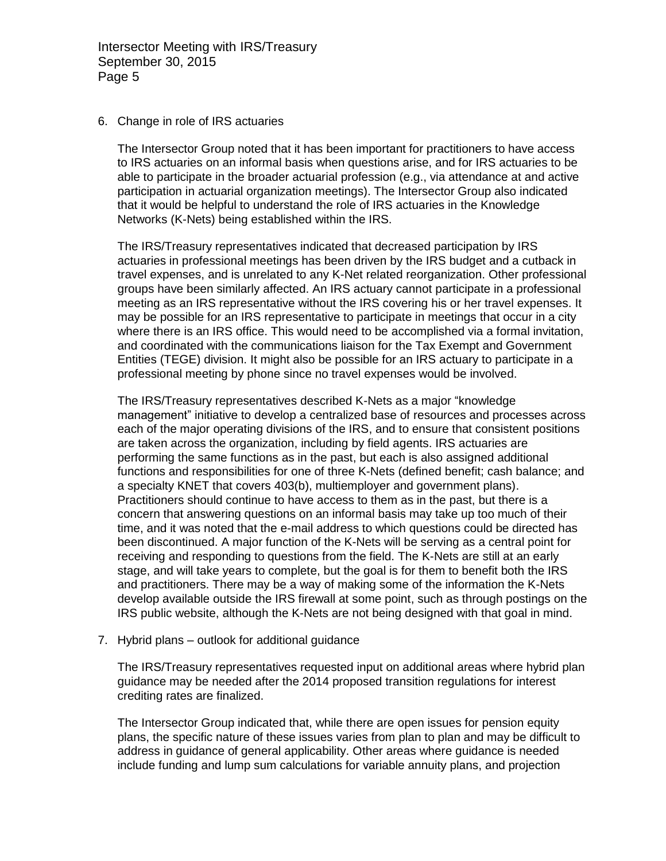Intersector Meeting with IRS/Treasury September 30, 2015 Page 5

#### 6. Change in role of IRS actuaries

The Intersector Group noted that it has been important for practitioners to have access to IRS actuaries on an informal basis when questions arise, and for IRS actuaries to be able to participate in the broader actuarial profession (e.g., via attendance at and active participation in actuarial organization meetings). The Intersector Group also indicated that it would be helpful to understand the role of IRS actuaries in the Knowledge Networks (K-Nets) being established within the IRS.

The IRS/Treasury representatives indicated that decreased participation by IRS actuaries in professional meetings has been driven by the IRS budget and a cutback in travel expenses, and is unrelated to any K-Net related reorganization. Other professional groups have been similarly affected. An IRS actuary cannot participate in a professional meeting as an IRS representative without the IRS covering his or her travel expenses. It may be possible for an IRS representative to participate in meetings that occur in a city where there is an IRS office. This would need to be accomplished via a formal invitation, and coordinated with the communications liaison for the Tax Exempt and Government Entities (TEGE) division. It might also be possible for an IRS actuary to participate in a professional meeting by phone since no travel expenses would be involved.

The IRS/Treasury representatives described K-Nets as a major "knowledge management" initiative to develop a centralized base of resources and processes across each of the major operating divisions of the IRS, and to ensure that consistent positions are taken across the organization, including by field agents. IRS actuaries are performing the same functions as in the past, but each is also assigned additional functions and responsibilities for one of three K-Nets (defined benefit; cash balance; and a specialty KNET that covers 403(b), multiemployer and government plans). Practitioners should continue to have access to them as in the past, but there is a concern that answering questions on an informal basis may take up too much of their time, and it was noted that the e-mail address to which questions could be directed has been discontinued. A major function of the K-Nets will be serving as a central point for receiving and responding to questions from the field. The K-Nets are still at an early stage, and will take years to complete, but the goal is for them to benefit both the IRS and practitioners. There may be a way of making some of the information the K-Nets develop available outside the IRS firewall at some point, such as through postings on the IRS public website, although the K-Nets are not being designed with that goal in mind.

### 7. Hybrid plans – outlook for additional guidance

The IRS/Treasury representatives requested input on additional areas where hybrid plan guidance may be needed after the 2014 proposed transition regulations for interest crediting rates are finalized.

The Intersector Group indicated that, while there are open issues for pension equity plans, the specific nature of these issues varies from plan to plan and may be difficult to address in guidance of general applicability. Other areas where guidance is needed include funding and lump sum calculations for variable annuity plans, and projection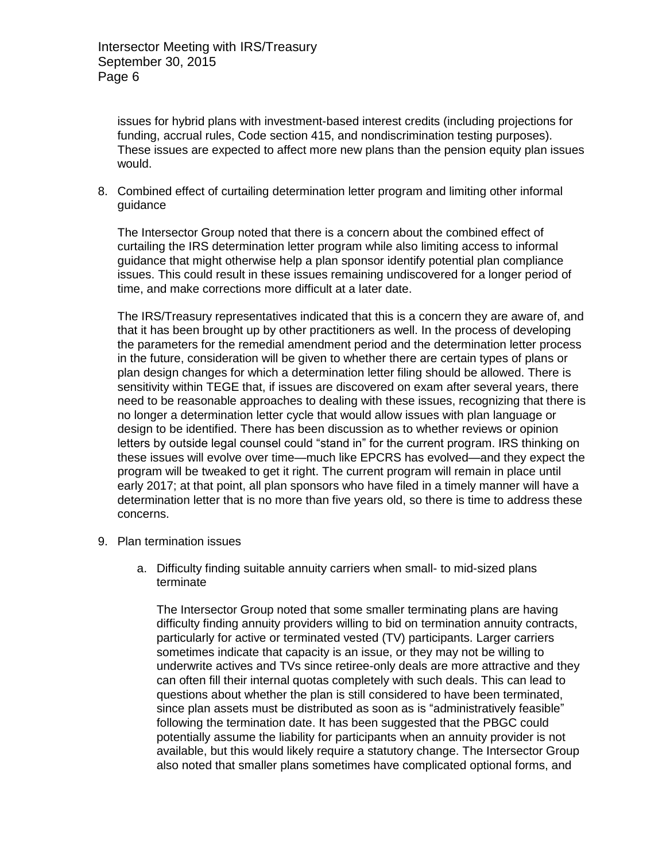issues for hybrid plans with investment-based interest credits (including projections for funding, accrual rules, Code section 415, and nondiscrimination testing purposes). These issues are expected to affect more new plans than the pension equity plan issues would.

8. Combined effect of curtailing determination letter program and limiting other informal guidance

The Intersector Group noted that there is a concern about the combined effect of curtailing the IRS determination letter program while also limiting access to informal guidance that might otherwise help a plan sponsor identify potential plan compliance issues. This could result in these issues remaining undiscovered for a longer period of time, and make corrections more difficult at a later date.

The IRS/Treasury representatives indicated that this is a concern they are aware of, and that it has been brought up by other practitioners as well. In the process of developing the parameters for the remedial amendment period and the determination letter process in the future, consideration will be given to whether there are certain types of plans or plan design changes for which a determination letter filing should be allowed. There is sensitivity within TEGE that, if issues are discovered on exam after several years, there need to be reasonable approaches to dealing with these issues, recognizing that there is no longer a determination letter cycle that would allow issues with plan language or design to be identified. There has been discussion as to whether reviews or opinion letters by outside legal counsel could "stand in" for the current program. IRS thinking on these issues will evolve over time—much like EPCRS has evolved—and they expect the program will be tweaked to get it right. The current program will remain in place until early 2017; at that point, all plan sponsors who have filed in a timely manner will have a determination letter that is no more than five years old, so there is time to address these concerns.

- 9. Plan termination issues
	- a. Difficulty finding suitable annuity carriers when small- to mid-sized plans terminate

The Intersector Group noted that some smaller terminating plans are having difficulty finding annuity providers willing to bid on termination annuity contracts, particularly for active or terminated vested (TV) participants. Larger carriers sometimes indicate that capacity is an issue, or they may not be willing to underwrite actives and TVs since retiree-only deals are more attractive and they can often fill their internal quotas completely with such deals. This can lead to questions about whether the plan is still considered to have been terminated, since plan assets must be distributed as soon as is "administratively feasible" following the termination date. It has been suggested that the PBGC could potentially assume the liability for participants when an annuity provider is not available, but this would likely require a statutory change. The Intersector Group also noted that smaller plans sometimes have complicated optional forms, and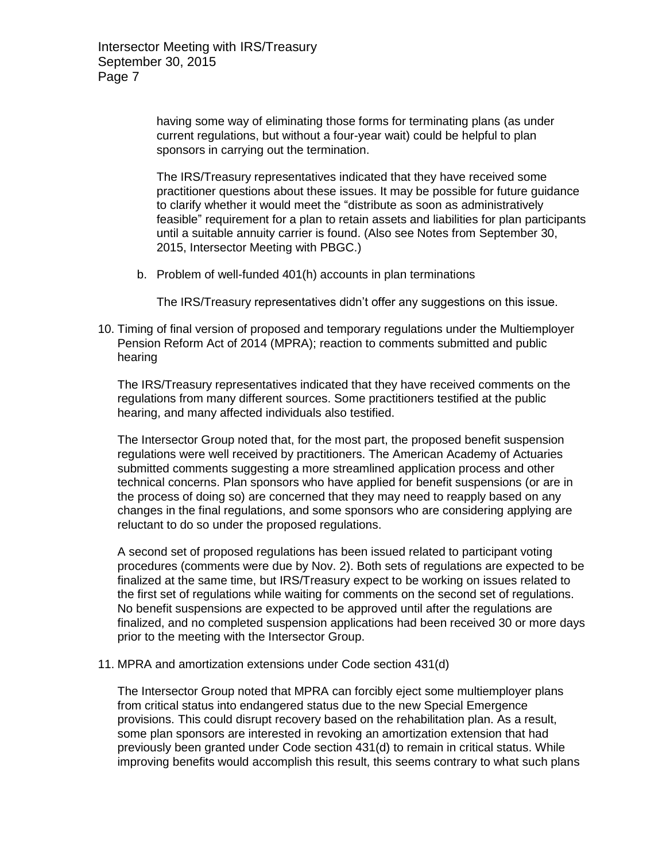having some way of eliminating those forms for terminating plans (as under current regulations, but without a four-year wait) could be helpful to plan sponsors in carrying out the termination.

The IRS/Treasury representatives indicated that they have received some practitioner questions about these issues. It may be possible for future guidance to clarify whether it would meet the "distribute as soon as administratively feasible" requirement for a plan to retain assets and liabilities for plan participants until a suitable annuity carrier is found. (Also see Notes from September 30, 2015, Intersector Meeting with PBGC.)

b. Problem of well-funded 401(h) accounts in plan terminations

The IRS/Treasury representatives didn't offer any suggestions on this issue.

10. Timing of final version of proposed and temporary regulations under the Multiemployer Pension Reform Act of 2014 (MPRA); reaction to comments submitted and public hearing

The IRS/Treasury representatives indicated that they have received comments on the regulations from many different sources. Some practitioners testified at the public hearing, and many affected individuals also testified.

The Intersector Group noted that, for the most part, the proposed benefit suspension regulations were well received by practitioners. The American Academy of Actuaries submitted comments suggesting a more streamlined application process and other technical concerns. Plan sponsors who have applied for benefit suspensions (or are in the process of doing so) are concerned that they may need to reapply based on any changes in the final regulations, and some sponsors who are considering applying are reluctant to do so under the proposed regulations.

A second set of proposed regulations has been issued related to participant voting procedures (comments were due by Nov. 2). Both sets of regulations are expected to be finalized at the same time, but IRS/Treasury expect to be working on issues related to the first set of regulations while waiting for comments on the second set of regulations. No benefit suspensions are expected to be approved until after the regulations are finalized, and no completed suspension applications had been received 30 or more days prior to the meeting with the Intersector Group.

11. MPRA and amortization extensions under Code section 431(d)

The Intersector Group noted that MPRA can forcibly eject some multiemployer plans from critical status into endangered status due to the new Special Emergence provisions. This could disrupt recovery based on the rehabilitation plan. As a result, some plan sponsors are interested in revoking an amortization extension that had previously been granted under Code section 431(d) to remain in critical status. While improving benefits would accomplish this result, this seems contrary to what such plans